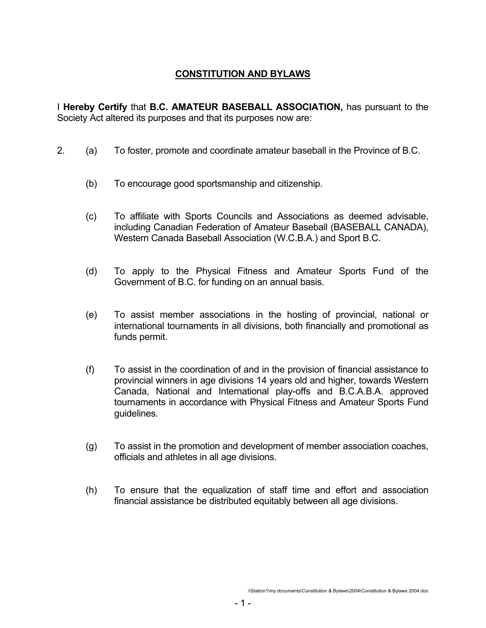# **CONSTITUTION AND BYLAWS**

I **Hereby Certify** that **B.C. AMATEUR BASEBALL ASSOCIATION,** has pursuant to the Society Act altered its purposes and that its purposes now are:

- 2. (a) To foster, promote and coordinate amateur baseball in the Province of B.C.
	- (b) To encourage good sportsmanship and citizenship.
	- (c) To affiliate with Sports Councils and Associations as deemed advisable, including Canadian Federation of Amateur Baseball (BASEBALL CANADA), Western Canada Baseball Association (W.C.B.A.) and Sport B.C.
	- (d) To apply to the Physical Fitness and Amateur Sports Fund of the Government of B.C. for funding on an annual basis.
	- (e) To assist member associations in the hosting of provincial, national or international tournaments in all divisions, both financially and promotional as funds permit.
	- (f) To assist in the coordination of and in the provision of financial assistance to provincial winners in age divisions 14 years old and higher, towards Western Canada, National and International play-offs and B.C.A.B.A. approved tournaments in accordance with Physical Fitness and Amateur Sports Fund guidelines.
	- (g) To assist in the promotion and development of member association coaches, officials and athletes in all age divisions.
	- (h) To ensure that the equalization of staff time and effort and association financial assistance be distributed equitably between all age divisions.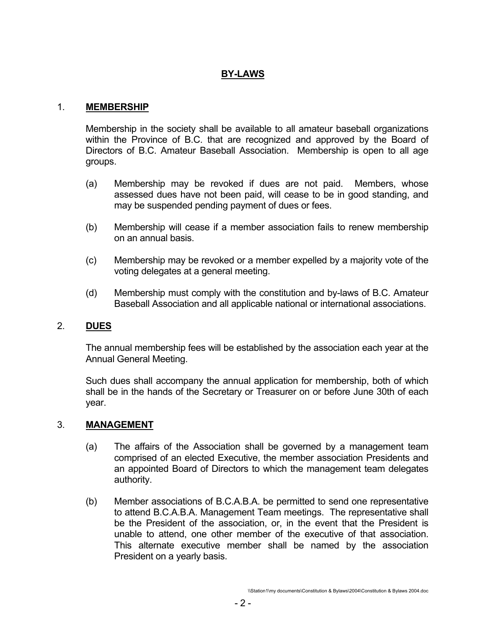# **BY-LAWS**

#### 1. **MEMBERSHIP**

 Membership in the society shall be available to all amateur baseball organizations within the Province of B.C. that are recognized and approved by the Board of Directors of B.C. Amateur Baseball Association. Membership is open to all age groups.

- (a) Membership may be revoked if dues are not paid. Members, whose assessed dues have not been paid, will cease to be in good standing, and may be suspended pending payment of dues or fees.
- (b) Membership will cease if a member association fails to renew membership on an annual basis.
- (c) Membership may be revoked or a member expelled by a majority vote of the voting delegates at a general meeting.
- (d) Membership must comply with the constitution and by-laws of B.C. Amateur Baseball Association and all applicable national or international associations.

### 2. **DUES**

 The annual membership fees will be established by the association each year at the Annual General Meeting.

 Such dues shall accompany the annual application for membership, both of which shall be in the hands of the Secretary or Treasurer on or before June 30th of each year.

#### 3. **MANAGEMENT**

- (a) The affairs of the Association shall be governed by a management team comprised of an elected Executive, the member association Presidents and an appointed Board of Directors to which the management team delegates authority.
- (b) Member associations of B.C.A.B.A. be permitted to send one representative to attend B.C.A.B.A. Management Team meetings. The representative shall be the President of the association, or, in the event that the President is unable to attend, one other member of the executive of that association. This alternate executive member shall be named by the association President on a yearly basis.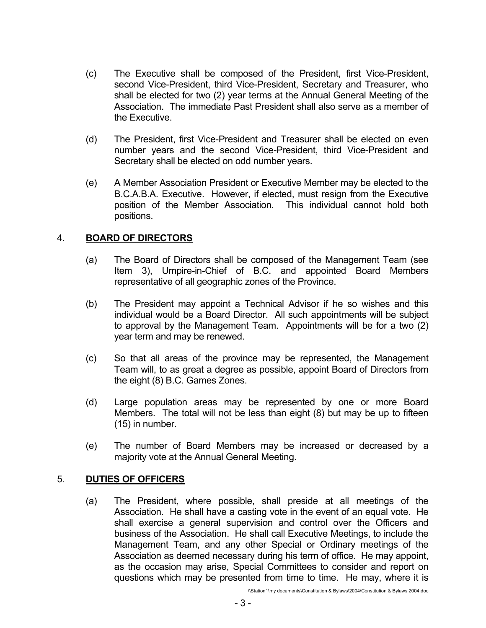- (c) The Executive shall be composed of the President, first Vice-President, second Vice-President, third Vice-President, Secretary and Treasurer, who shall be elected for two (2) year terms at the Annual General Meeting of the Association. The immediate Past President shall also serve as a member of the Executive.
- (d) The President, first Vice-President and Treasurer shall be elected on even number years and the second Vice-President, third Vice-President and Secretary shall be elected on odd number years.
- (e) A Member Association President or Executive Member may be elected to the B.C.A.B.A. Executive. However, if elected, must resign from the Executive position of the Member Association. This individual cannot hold both positions.

## 4. **BOARD OF DIRECTORS**

- (a) The Board of Directors shall be composed of the Management Team (see Item 3), Umpire-in-Chief of B.C. and appointed Board Members representative of all geographic zones of the Province.
- (b) The President may appoint a Technical Advisor if he so wishes and this individual would be a Board Director. All such appointments will be subject to approval by the Management Team. Appointments will be for a two (2) year term and may be renewed.
- (c) So that all areas of the province may be represented, the Management Team will, to as great a degree as possible, appoint Board of Directors from the eight (8) B.C. Games Zones.
- (d) Large population areas may be represented by one or more Board Members. The total will not be less than eight (8) but may be up to fifteen (15) in number.
- (e) The number of Board Members may be increased or decreased by a majority vote at the Annual General Meeting.

# 5. **DUTIES OF OFFICERS**

 (a) The President, where possible, shall preside at all meetings of the Association. He shall have a casting vote in the event of an equal vote. He shall exercise a general supervision and control over the Officers and business of the Association. He shall call Executive Meetings, to include the Management Team, and any other Special or Ordinary meetings of the Association as deemed necessary during his term of office. He may appoint, as the occasion may arise, Special Committees to consider and report on questions which may be presented from time to time. He may, where it is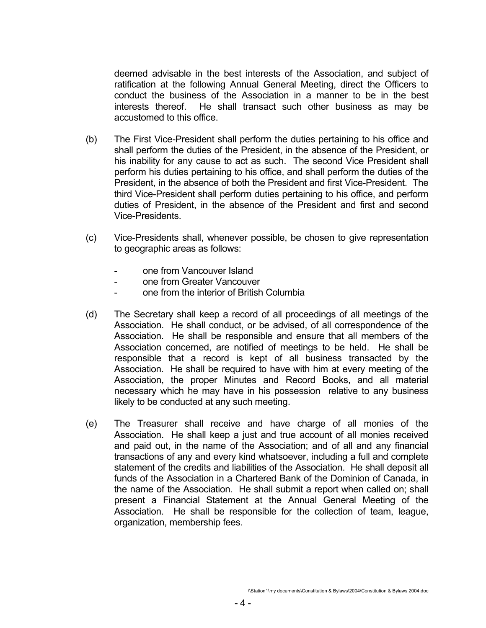deemed advisable in the best interests of the Association, and subject of ratification at the following Annual General Meeting, direct the Officers to conduct the business of the Association in a manner to be in the best interests thereof. He shall transact such other business as may be accustomed to this office.

- (b) The First Vice-President shall perform the duties pertaining to his office and shall perform the duties of the President, in the absence of the President, or his inability for any cause to act as such. The second Vice President shall perform his duties pertaining to his office, and shall perform the duties of the President, in the absence of both the President and first Vice-President. The third Vice-President shall perform duties pertaining to his office, and perform duties of President, in the absence of the President and first and second Vice-Presidents.
- (c) Vice-Presidents shall, whenever possible, be chosen to give representation to geographic areas as follows:
	- one from Vancouver Island
	- one from Greater Vancouver
	- one from the interior of British Columbia
- (d) The Secretary shall keep a record of all proceedings of all meetings of the Association. He shall conduct, or be advised, of all correspondence of the Association. He shall be responsible and ensure that all members of the Association concerned, are notified of meetings to be held. He shall be responsible that a record is kept of all business transacted by the Association. He shall be required to have with him at every meeting of the Association, the proper Minutes and Record Books, and all material necessary which he may have in his possession relative to any business likely to be conducted at any such meeting.
- (e) The Treasurer shall receive and have charge of all monies of the Association. He shall keep a just and true account of all monies received and paid out, in the name of the Association; and of all and any financial transactions of any and every kind whatsoever, including a full and complete statement of the credits and liabilities of the Association. He shall deposit all funds of the Association in a Chartered Bank of the Dominion of Canada, in the name of the Association. He shall submit a report when called on; shall present a Financial Statement at the Annual General Meeting of the Association. He shall be responsible for the collection of team, league, organization, membership fees.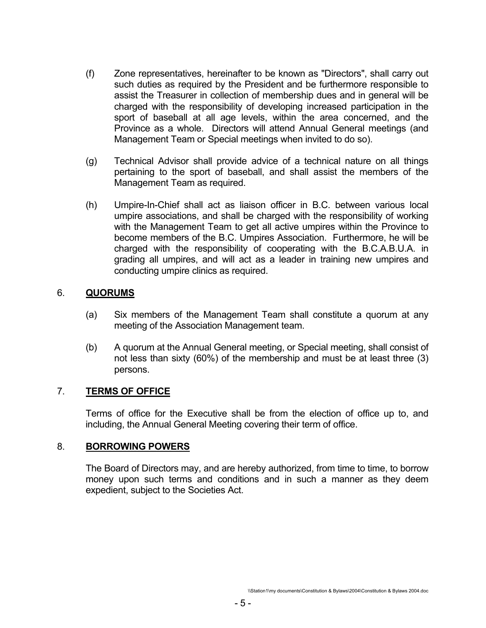- (f) Zone representatives, hereinafter to be known as "Directors", shall carry out such duties as required by the President and be furthermore responsible to assist the Treasurer in collection of membership dues and in general will be charged with the responsibility of developing increased participation in the sport of baseball at all age levels, within the area concerned, and the Province as a whole. Directors will attend Annual General meetings (and Management Team or Special meetings when invited to do so).
- (g) Technical Advisor shall provide advice of a technical nature on all things pertaining to the sport of baseball, and shall assist the members of the Management Team as required.
- (h) Umpire-In-Chief shall act as liaison officer in B.C. between various local umpire associations, and shall be charged with the responsibility of working with the Management Team to get all active umpires within the Province to become members of the B.C. Umpires Association. Furthermore, he will be charged with the responsibility of cooperating with the B.C.A.B.U.A. in grading all umpires, and will act as a leader in training new umpires and conducting umpire clinics as required.

### 6. **QUORUMS**

- (a) Six members of the Management Team shall constitute a quorum at any meeting of the Association Management team.
- (b) A quorum at the Annual General meeting, or Special meeting, shall consist of not less than sixty (60%) of the membership and must be at least three (3) persons.

### 7. **TERMS OF OFFICE**

 Terms of office for the Executive shall be from the election of office up to, and including, the Annual General Meeting covering their term of office.

#### 8. **BORROWING POWERS**

 The Board of Directors may, and are hereby authorized, from time to time, to borrow money upon such terms and conditions and in such a manner as they deem expedient, subject to the Societies Act.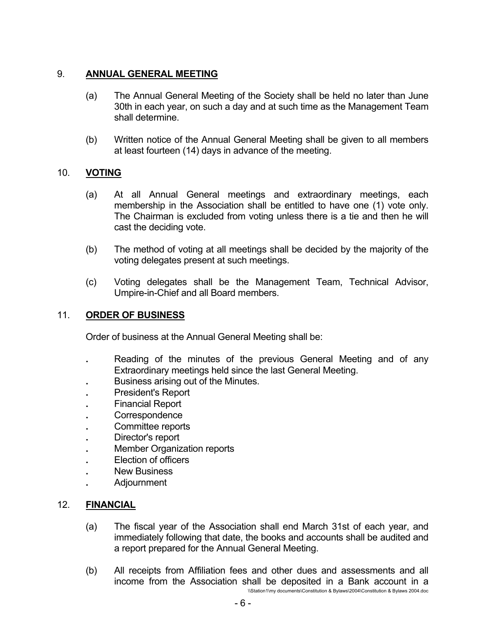# 9. **ANNUAL GENERAL MEETING**

- (a) The Annual General Meeting of the Society shall be held no later than June 30th in each year, on such a day and at such time as the Management Team shall determine.
- (b) Written notice of the Annual General Meeting shall be given to all members at least fourteen (14) days in advance of the meeting.

## 10. **VOTING**

- (a) At all Annual General meetings and extraordinary meetings, each membership in the Association shall be entitled to have one (1) vote only. The Chairman is excluded from voting unless there is a tie and then he will cast the deciding vote.
- (b) The method of voting at all meetings shall be decided by the majority of the voting delegates present at such meetings.
- (c) Voting delegates shall be the Management Team, Technical Advisor, Umpire-in-Chief and all Board members.

### 11. **ORDER OF BUSINESS**

Order of business at the Annual General Meeting shall be:

- **.** Reading of the minutes of the previous General Meeting and of any Extraordinary meetings held since the last General Meeting.
- **Business arising out of the Minutes.**
- **President's Report**
- **.** Financial Report
- **.** Correspondence
- **.** Committee reports
- **.** Director's report
- **Member Organization reports**
- **Election of officers**
- **New Business**
- **.** Adjournment

### 12. **FINANCIAL**

- (a) The fiscal year of the Association shall end March 31st of each year, and immediately following that date, the books and accounts shall be audited and a report prepared for the Annual General Meeting.
- (b) All receipts from Affiliation fees and other dues and assessments and all income from the Association shall be deposited in a Bank account in a